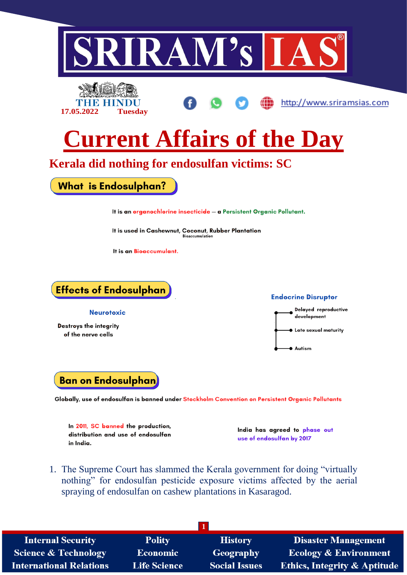

1. The Supreme Court has slammed the Kerala government for doing "virtually nothing" for endosulfan pesticide exposure victims affected by the aerial spraying of endosulfan on cashew plantations in Kasaragod.

| <b>Internal Security</b>        | <b>Polity</b>       | <b>History</b>       | <b>Disaster Management</b>              |
|---------------------------------|---------------------|----------------------|-----------------------------------------|
| <b>Science &amp; Technology</b> | <b>Economic</b>     | Geography            | Ecology & Environment                   |
| <b>International Relations</b>  | <b>Life Science</b> | <b>Social Issues</b> | <b>Ethics, Integrity &amp; Aptitude</b> |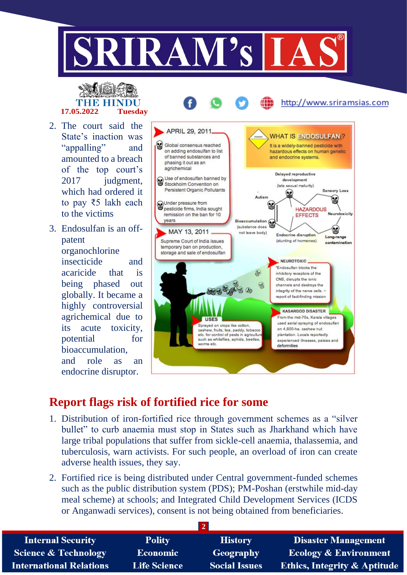

## THE HINI **17.05.2022 Tuesday**

- 2. The court said the State's inaction was "appalling" and amounted to a breach of the top court's 2017 judgment, which had ordered it to pay ₹5 lakh each to the victims
- 3. Endosulfan is an offpatent organochlorine insecticide and acaricide that is being phased out globally. It became a highly controversial agrichemical due to its acute toxicity, potential for bioaccumulation, and role as an endocrine disruptor.



http://www.sriramsias.com

## **Report flags risk of fortified rice for some**

- 1. Distribution of iron-fortified rice through government schemes as a "silver bullet" to curb anaemia must stop in States such as Jharkhand which have large tribal populations that suffer from sickle-cell anaemia, thalassemia, and tuberculosis, warn activists. For such people, an overload of iron can create adverse health issues, they say.
- 2. Fortified rice is being distributed under Central government-funded schemes such as the public distribution system (PDS); PM-Poshan (erstwhile mid-day meal scheme) at schools; and Integrated Child Development Services (ICDS or Anganwadi services), consent is not being obtained from beneficiaries.

| <b>Internal Security</b>        | <b>Polity</b>       | <b>History</b>       | <b>Disaster Management</b>              |  |
|---------------------------------|---------------------|----------------------|-----------------------------------------|--|
| <b>Science &amp; Technology</b> | <b>Economic</b>     | Geography            | Ecology & Environment                   |  |
| <b>International Relations</b>  | <b>Life Science</b> | <b>Social Issues</b> | <b>Ethics, Integrity &amp; Aptitude</b> |  |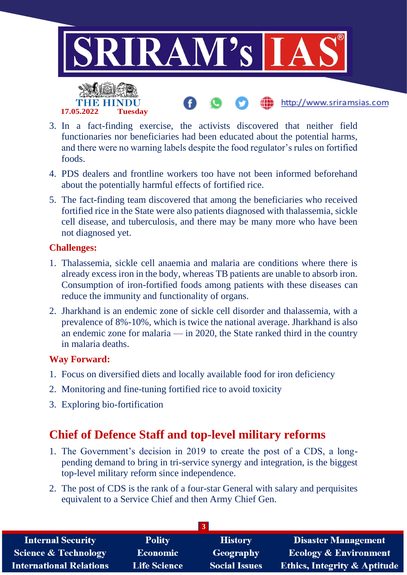

- 3. In a fact-finding exercise, the activists discovered that neither field functionaries nor beneficiaries had been educated about the potential harms, and there were no warning labels despite the food regulator's rules on fortified foods.
- 4. PDS dealers and frontline workers too have not been informed beforehand about the potentially harmful effects of fortified rice.
- 5. The fact-finding team discovered that among the beneficiaries who received fortified rice in the State were also patients diagnosed with thalassemia, sickle cell disease, and tuberculosis, and there may be many more who have been not diagnosed yet.

#### **Challenges:**

- 1. Thalassemia, sickle cell anaemia and malaria are conditions where there is already excess iron in the body, whereas TB patients are unable to absorb iron. Consumption of iron-fortified foods among patients with these diseases can reduce the immunity and functionality of organs.
- 2. Jharkhand is an endemic zone of sickle cell disorder and thalassemia, with a prevalence of 8%-10%, which is twice the national average. Jharkhand is also an endemic zone for malaria — in 2020, the State ranked third in the country in malaria deaths.

#### **Way Forward:**

- 1. Focus on diversified diets and locally available food for iron deficiency
- 2. Monitoring and fine-tuning fortified rice to avoid toxicity
- 3. Exploring bio-fortification

## **Chief of Defence Staff and top-level military reforms**

- 1. The Government's decision in 2019 to create the post of a CDS, a longpending demand to bring in tri-service synergy and integration, is the biggest top-level military reform since independence.
- 2. The post of CDS is the rank of a four-star General with salary and perquisites equivalent to a Service Chief and then Army Chief Gen.

| <b>Internal Security</b>        | <b>Polity</b>       | <b>History</b>       | <b>Disaster Management</b>              |  |
|---------------------------------|---------------------|----------------------|-----------------------------------------|--|
| <b>Science &amp; Technology</b> | <b>Economic</b>     | Geography            | <b>Ecology &amp; Environment</b>        |  |
| <b>International Relations</b>  | <b>Life Science</b> | <b>Social Issues</b> | <b>Ethics, Integrity &amp; Aptitude</b> |  |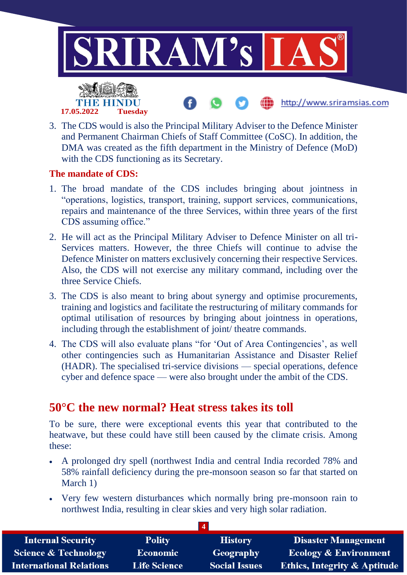

3. The CDS would is also the Principal Military Adviser to the Defence Minister and Permanent Chairman Chiefs of Staff Committee (CoSC). In addition, the DMA was created as the fifth department in the Ministry of Defence (MoD) with the CDS functioning as its Secretary.

#### **The mandate of CDS:**

**17.05.2022 Tuesday**

- 1. The broad mandate of the CDS includes bringing about jointness in "operations, logistics, transport, training, support services, communications, repairs and maintenance of the three Services, within three years of the first CDS assuming office."
- 2. He will act as the Principal Military Adviser to Defence Minister on all tri-Services matters. However, the three Chiefs will continue to advise the Defence Minister on matters exclusively concerning their respective Services. Also, the CDS will not exercise any military command, including over the three Service Chiefs.
- 3. The CDS is also meant to bring about synergy and optimise procurements, training and logistics and facilitate the restructuring of military commands for optimal utilisation of resources by bringing about jointness in operations, including through the establishment of joint/ theatre commands.
- 4. The CDS will also evaluate plans "for 'Out of Area Contingencies', as well other contingencies such as Humanitarian Assistance and Disaster Relief (HADR). The specialised tri-service divisions — special operations, defence cyber and defence space — were also brought under the ambit of the CDS.

### **50°C the new normal? Heat stress takes its toll**

To be sure, there were exceptional events this year that contributed to the heatwave, but these could have still been caused by the climate crisis. Among these:

- A prolonged dry spell (northwest India and central India recorded 78% and 58% rainfall deficiency during the pre-monsoon season so far that started on March 1)
- Very few western disturbances which normally bring pre-monsoon rain to northwest India, resulting in clear skies and very high solar radiation.

| <b>Internal Security</b>        | <b>Polity</b>       | <b>History</b>       | <b>Disaster Management</b>              |  |
|---------------------------------|---------------------|----------------------|-----------------------------------------|--|
| <b>Science &amp; Technology</b> | <b>Economic</b>     | Geography            | <b>Ecology &amp; Environment</b>        |  |
| <b>International Relations</b>  | <b>Life Science</b> | <b>Social Issues</b> | <b>Ethics, Integrity &amp; Aptitude</b> |  |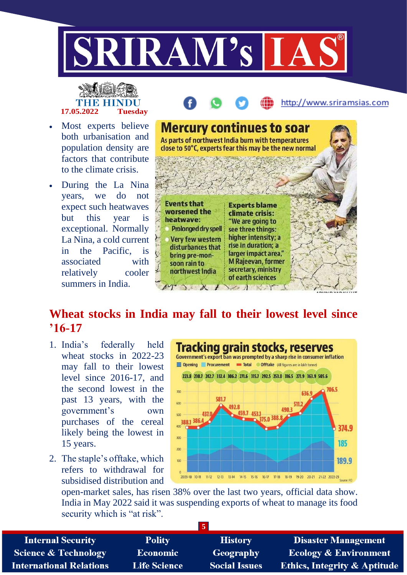

# **17.05.2022 Tuesday**

- Most experts believe both urbanisation and population density are factors that contribute to the climate crisis.
- During the La Nina years, we do not expect such heatwaves but this year is exceptional. Normally La Nina, a cold current in the Pacific, is associated with relatively cooler summers in India.

|                                                                                                                                                  |                                                                                                         | http://www.sriramsias.com |
|--------------------------------------------------------------------------------------------------------------------------------------------------|---------------------------------------------------------------------------------------------------------|---------------------------|
| <b>Mercury continues to soar</b><br>As parts of northwest India burn with temperatures<br>close to 50°C, experts fear this may be the new normal |                                                                                                         |                           |
|                                                                                                                                                  |                                                                                                         |                           |
| <b>Events that</b><br>worsened the<br>heatwave:<br>Prolonged dry spell                                                                           | <b>Experts blame</b><br>climate crisis:<br>"We are going to<br>see three things:<br>higher intensity; a |                           |
| <b>Very few western</b><br>disturbances that<br>bring pre-mon-<br>soon rain to<br>northwest India                                                | rise in duration; a<br>larger impact area,"<br><b>M Rajeevan, former</b><br>secretary, ministry         |                           |
|                                                                                                                                                  | of earth sciences<br>AINANTS                                                                            |                           |

## **Wheat stocks in India may fall to their lowest level since '16-17**

- 1. India's federally held wheat stocks in 2022-23 may fall to their lowest level since 2016-17, and the second lowest in the past 13 years, with the government's own purchases of the cereal likely being the lowest in 15 years.
- 2. The staple's offtake, which refers to withdrawal for subsidised distribution and



open-market sales, has risen 38% over the last two years, official data show. India in May 2022 said it was suspending exports of wheat to manage its food security which is "at risk".

| <b>Internal Security</b>        | <b>Polity</b>       | <b>History</b>       | <b>Disaster Management</b>              |  |
|---------------------------------|---------------------|----------------------|-----------------------------------------|--|
| <b>Science &amp; Technology</b> | <b>Economic</b>     | Geography            | <b>Ecology &amp; Environment</b>        |  |
| <b>International Relations</b>  | <b>Life Science</b> | <b>Social Issues</b> | <b>Ethics, Integrity &amp; Aptitude</b> |  |